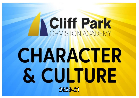# **NCIIff Park**

## CHARACTER & CULTURE



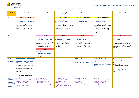

## **Cliff Park Character and Culture (CPCC) 2020-21**

| <b>YEAR 7</b>                                                     | <b>Autumn 1</b>                                                                                                                                                                                                                                                                                                                                                             | <b>Autumn 2</b>                                                                                                                                                                                                                                                                                                                                   | <b>Spring 1</b>                                                                                                                                                                                                                  | <b>Spring 2</b>                                                                                                                                                                                                                                                              | <b>Summer 1</b>                                                                                                                                                                                                                                                                                                                     | <b>Summer 2</b>                                                                                                                                                                                                                                                         |
|-------------------------------------------------------------------|-----------------------------------------------------------------------------------------------------------------------------------------------------------------------------------------------------------------------------------------------------------------------------------------------------------------------------------------------------------------------------|---------------------------------------------------------------------------------------------------------------------------------------------------------------------------------------------------------------------------------------------------------------------------------------------------------------------------------------------------|----------------------------------------------------------------------------------------------------------------------------------------------------------------------------------------------------------------------------------|------------------------------------------------------------------------------------------------------------------------------------------------------------------------------------------------------------------------------------------------------------------------------|-------------------------------------------------------------------------------------------------------------------------------------------------------------------------------------------------------------------------------------------------------------------------------------------------------------------------------------|-------------------------------------------------------------------------------------------------------------------------------------------------------------------------------------------------------------------------------------------------------------------------|
| <b>SHE</b>                                                        | <b>Health and Wellbeing</b><br><b>Transition to secondary school</b><br>7 <sup>th</sup> September - 18 <sup>th</sup> September<br>Addresses the likely anxieties of<br>transition and offers support and<br>advice. Important for the wellbeing of<br>pupils in a new environment and<br>promotes a trusting classroom.                                                     |                                                                                                                                                                                                                                                                                                                                                   | <b>Sex and Relationships</b><br><b>Rites of passage</b><br>25th January - 5th March<br>A topic that amalgamates the<br>principles of philosophy and theology<br>with wider discussions on<br>relationships and family life (RSE) | <b>Sex and Relationships</b><br><b>Rites of passage</b><br>25th January - 5th March<br>See Spring 1                                                                                                                                                                          | <b>Sex and Relationships</b><br><b>Help Me I'm Hairy</b><br>$26th$ April – $21st$ May<br>Body hair, Body changes, Male and<br>female reproductive organs, Periods<br>and sanitary protection, Hygiene,<br>Peer pressure, Emotional changes,<br>Relationships and friendships, Myths,<br>'Private Parts' erections and wet<br>dreams |                                                                                                                                                                                                                                                                         |
| <b>RE</b>                                                         |                                                                                                                                                                                                                                                                                                                                                                             | <b>Philosophy</b><br><b>What is Philosophy?</b><br>$2nd$ November – $4th$ December<br>Introduction to philosophical thought<br>and application. To form the basis of<br>deeper and more meaningful<br>discussion throughout the year.<br><b>Religion</b><br><b>What is Religion?</b><br>$7th$ December - 22 <sup>nd</sup> January<br>See Spring 1 | <b>Religion</b><br><b>What is Religion?</b><br>$7th$ December – 22 <sup>nd</sup> January<br>Opportunity to apply philosophical<br>thought to the foundations of<br>theology. What is its purpose? Is it<br>necessary?            | <b>Religion</b><br><b>Is Hinduism One Faith?</b><br>$8th$ March - 23 <sup>rd</sup> April<br>Chronologically the oldest of the<br>religions studied. Allows for acquiring<br>knowledge of theological evolution.<br>Philosophy of religion allows for<br>informed discussion. |                                                                                                                                                                                                                                                                                                                                     | <b>Religion</b><br><b>Big Story: Old Testament</b><br>$34th$ May - 16 <sup>th</sup> July<br>Chronologically, the theology that<br>underpins the Bible follows Topic 6.<br>First opportunity to apply philosophy<br>and analysis to religious text. A key<br>GCSE skill. |
| <b>EIAG</b><br>ncluding<br>ips and<br>/ents)                      | <b>Careers Education</b><br><b>Careers and Enterprise Skills</b><br>21 <sup>st</sup> September - 23 <sup>rd</sup> October<br>Promotes discussion of aspirations<br>and reinforces value of CC and work<br>ethic in early secondary. Awareness<br>of consequences of actions now, in<br>later life.<br>Introduction to START and Records of<br>Achievement - Career Pathways |                                                                                                                                                                                                                                                                                                                                                   |                                                                                                                                                                                                                                  | <b>BBC Young Reporter</b><br><b>TBC</b><br>The Great Egg Race STEM Event<br><b>TBC</b>                                                                                                                                                                                       | 'He Can, We Can' - UEA trip for<br>boys<br><b>TBC</b><br>'Women in Science' - UEA trip<br>for girls<br><b>TBC</b>                                                                                                                                                                                                                   | <b>Financial Literacy</b><br><b>Drop Down Day - TBC</b><br>Recognising your money personality<br>Value for money<br>Dealing with financial dilemmas<br><b>Careers Trip - Africa Alive!</b><br><b>TBC</b>                                                                |
| orm<br>ctivities<br>ncluding<br>ssemblies &<br>utside<br>peakers) | <b>Inspiration (SSO)</b><br>Random Acts of Kindness (ZCA)<br><b>Equality (Community APs)</b><br><b>Wellbeing Week (ZCA/AJA)</b><br>Strength (TPO)<br><b>Rewards (Community APs)</b>                                                                                                                                                                                         | <b>Motivation (TPO)</b><br>Online Safety (SSO/JJO)<br><b>Remembrance Week (TPO)</b><br><b>Compassion (NPE)</b><br>Peace & Christmas (Community APs)                                                                                                                                                                                               | <b>Resolutions (TPO)</b><br>Hope/Young Carers (AJA)<br>Reading Week (TJO)<br>Resilience (SSO)<br><b>Healthy Lifestyles (NPE)</b><br><b>Debating Competition &amp; Rewards</b><br>(TPO)                                           | <b>Careers Education (SSO)</b><br>Learning Skills (NPE)<br>SMSC (RSE/SMI)<br>Routines (TPO)<br><b>Rewards (Community APs)</b>                                                                                                                                                | Literacy (TJO)<br>Eco-Council & Environment (NPE)<br><b>VE Day Celebrations (TPO)</b><br><b>Social Media Speaker (SSO)</b><br><b>Rewards (Community APs)</b>                                                                                                                                                                        |                                                                                                                                                                                                                                                                         |

*PSHE- Personal, Social, Health and Economic CEIAG- Careers Education, Information, Advice and Guidance PRE- Philosophy, Religion and Ethics*

| <b>PSHE</b>                                                                       | <b>Health and Wellbeing</b>                                                                                                                                                                                                                                                                                                                         |                                                                                                                                                                                                                                                                                                                              | <b>Sex and Relationships</b>                                                                                                                                                                                 | <b>Sex and Relationships</b>                                                                                                                                                                                                                                        | <b>Sex and Relationships</b>                                                                                                                                                                                                                                                                    |
|-----------------------------------------------------------------------------------|-----------------------------------------------------------------------------------------------------------------------------------------------------------------------------------------------------------------------------------------------------------------------------------------------------------------------------------------------------|------------------------------------------------------------------------------------------------------------------------------------------------------------------------------------------------------------------------------------------------------------------------------------------------------------------------------|--------------------------------------------------------------------------------------------------------------------------------------------------------------------------------------------------------------|---------------------------------------------------------------------------------------------------------------------------------------------------------------------------------------------------------------------------------------------------------------------|-------------------------------------------------------------------------------------------------------------------------------------------------------------------------------------------------------------------------------------------------------------------------------------------------|
|                                                                                   | <b>Transition to secondary school</b><br>7th September - 18th September<br>Addresses the likely anxieties of<br>transition and offers support and<br>advice. Important for the wellbeing of<br>pupils in a new environment and<br>promotes a trusting classroom.                                                                                    |                                                                                                                                                                                                                                                                                                                              | <b>Rites of passage</b><br>25th January - 5th March<br>A topic that amalgamates the<br>principles of philosophy and theology<br>with wider discussions on<br>relationships and family life (RSE)             | <b>Rites of passage</b><br>25th January - 5th March<br>See Spring 1                                                                                                                                                                                                 | <b>Help Me I'm Hairy</b><br>26th April - 21st May<br>Body hair, Body changes, Male and<br>female reproductive organs, Periods<br>and sanitary protection, Hygiene,<br>Peer pressure, Emotional changes,<br>Relationships and friendships, Myths,<br>'Private Parts' erections and wet<br>dreams |
| <b>PRE</b>                                                                        |                                                                                                                                                                                                                                                                                                                                                     | <b>Philosophy</b>                                                                                                                                                                                                                                                                                                            | <b>Religion</b>                                                                                                                                                                                              | <b>Religion</b>                                                                                                                                                                                                                                                     |                                                                                                                                                                                                                                                                                                 |
|                                                                                   |                                                                                                                                                                                                                                                                                                                                                     | <b>What is Philosophy?</b><br>$2nd$ November – $4th$ December<br>Introduction to philosophical thought<br>and application. To form the basis of<br>deeper and more meaningful<br>discussion throughout the year.<br><b>Religion</b><br><b>What is Religion?</b><br>$7th$ December – 22 <sup>nd</sup> January<br>See Spring 1 | <b>What is Religion?</b><br>7 <sup>th</sup> December - 22 <sup>nd</sup> January<br>Opportunity to apply philosophical<br>thought to the foundations of<br>theology. What is its purpose? Is it<br>necessary? | <b>Is Hinduism One Faith?</b><br>8 <sup>th</sup> March - 23 <sup>rd</sup> April<br>Chronologically the oldest of the<br>religions studied. Allows for acquiring<br>knowledge of theological evolution.<br>Philosophy of religion allows for<br>informed discussion. |                                                                                                                                                                                                                                                                                                 |
| <b>CEIAG</b><br><i>(including)</i><br>trips and<br>events)                        | <b>Careers Education</b><br><b>Careers and Enterprise Skills</b><br>21st September - 23rd October<br>Promotes discussion of aspirations<br>and reinforces value of CC and work<br>ethic in early secondary. Awareness<br>of consequences of actions now, in<br>later life.<br>Introduction to START and Records of<br>Achievement - Career Pathways |                                                                                                                                                                                                                                                                                                                              |                                                                                                                                                                                                              | <b>BBC Young Reporter</b><br><b>TBC</b><br>The Great Egg Race STEM Event<br><b>TBC</b>                                                                                                                                                                              | 'He Can, We Can' - UEA trip for<br>boys<br><b>TBC</b><br>'Women in Science' - UEA trip<br>for girls<br><b>TBC</b>                                                                                                                                                                               |
| <b>Form</b><br><b>Activities</b><br><i>(including)</i><br>assemblies &<br>outside | <b>Inspiration (SSO)</b><br>Random Acts of Kindness (ZCA)<br><b>Equality (Community APs)</b><br><b>Wellbeing Week (ZCA/AJA)</b><br>Strength (TPO)<br>Rewards (Community APs)                                                                                                                                                                        | <b>Motivation (TPO)</b><br>Online Safety (SSO/JJO)<br><b>Remembrance Week (TPO)</b><br><b>Compassion (NPE)</b><br>Peace & Christmas (Community APs)                                                                                                                                                                          | <b>Resolutions (TPO)</b><br>Hope/Young Carers (AJA)<br>Reading Week (TJO)<br><b>Resilience (SSO)</b><br><b>Healthy Lifestyles (NPE)</b><br>Debating Competition & Rewards                                    | <b>Careers Education (SSO)</b><br>Learning Skills (NPE)<br>SMSC (RSE/SMI)<br>Routines (TPO)<br><b>Rewards (Community APs)</b>                                                                                                                                       | Literacy (TJO)<br><b>Eco-Council &amp; Environment (NPE)</b><br><b>VE Day Celebrations (TPO)</b><br>Social Media Speaker (SSO)<br><b>Rewards (Community APs)</b>                                                                                                                                |

**Speakers)**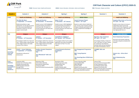

| <b>YEAR 8</b>                                                                                 | <b>Autumn 1</b>                                                                                                                                                                                                                                         | <b>Autumn 2</b>                                                                                                                                                                                                                                                  | <b>Spring 1</b>                                                                                                                                                                                                                                                           | <b>Spring 2</b>                                                                                                                                                                                                                                                  | <b>Summer 1</b>                                                                                                                                                                                                                                                              | <b>Summer 2</b>                                                                                                                                                                                                                                                                                   |
|-----------------------------------------------------------------------------------------------|---------------------------------------------------------------------------------------------------------------------------------------------------------------------------------------------------------------------------------------------------------|------------------------------------------------------------------------------------------------------------------------------------------------------------------------------------------------------------------------------------------------------------------|---------------------------------------------------------------------------------------------------------------------------------------------------------------------------------------------------------------------------------------------------------------------------|------------------------------------------------------------------------------------------------------------------------------------------------------------------------------------------------------------------------------------------------------------------|------------------------------------------------------------------------------------------------------------------------------------------------------------------------------------------------------------------------------------------------------------------------------|---------------------------------------------------------------------------------------------------------------------------------------------------------------------------------------------------------------------------------------------------------------------------------------------------|
| <b>PSHE</b>                                                                                   | <b>Health and Wellbeing</b><br>The Web We Want<br>$7th$ September – $2nd$ October<br>Mobile phone/device usage<br>widespread. 13 is the age of consent<br>for many social media platforms,<br>important to inform on risk and<br>support mental health. | <b>Health and Wellbeing</b><br><b>Drugs and Alcohol</b><br>16th November - 4th December<br>Student survey in 2019 highlighted<br>increased alcohol consumption in<br>13/14-year olds. The topic is to<br>increase awareness and reduce the<br>trends identified. | <b>Health and Wellbeing</b><br><b>Notes To Self</b><br>$7th$ December – 15 <sup>th</sup> January<br>Student survey in 2019 highlighted<br>increased alcohol consumption in<br>13/14-year olds. The topic is to<br>increase awareness and reduce the<br>trends identified. | <b>British Values</b><br><b>Social Cohesion Project</b><br>1st March - 23rd April<br>Based on a pilot scheme trialled last<br>year. Survey results showed a positive<br>change in attitudes particularly in the<br>young. Compliments knowledge of<br>religions. |                                                                                                                                                                                                                                                                              | <b>Health and Wellbeing</b><br><b>Keeping Safe &amp; Intro to First Aid</b><br>$14th$ June – $16th$ July<br>Student surveys show an increase in<br>independence given by this age.<br>Informs of the risks of being out, road<br>safety, grooming etc. CPR is deemed<br>most appropriate from 13. |
| <b>PRE</b>                                                                                    | <b>Religion</b><br><b>Judaism</b><br>5 <sup>th</sup> October - 13 <sup>th</sup> November<br>Chronological. Builds from Topic 8 of<br>Year 7. Allows deeper understanding<br>of the religion based on the wider<br>context of the scripture.             | <b>Religion</b><br><b>Judaism</b><br>5 <sup>th</sup> October - 13 <sup>th</sup> November<br>Chronological. Builds from Topic 8 of<br>Year 7. Allows deeper understanding<br>of the religion based on the wider<br>context of the scripture.                      | <b>Religion</b><br><b>Is Buddhism a Religion?</b><br>18th January - 26th February<br>Chronological. Allows for the explicit<br>application and recap of knowledge<br>from topic 4 of Year 7 to a new<br>religion.                                                         |                                                                                                                                                                                                                                                                  | <b>Religion</b><br><b>Big Story: New Testament</b><br>26th April - 11th June<br>Chronological. Builds on Topic 8 of<br>Year 7 and Topic 2 of Year 8. Allows<br>for comparison and reflection.<br>Develops skills and lays foundation<br>for study of Christianity in Year 9. | <b>Careers Education</b><br><b>Work Shadowing Preparation</b><br>Discussion and activities exploring<br>work place etiquette and placement<br>research.                                                                                                                                           |
| <b>CEIAG</b><br>(including<br>trips and<br>events)                                            | <b>START - Career Pathways</b><br>$7th$ September – $2nd$ October<br>Introduction to Records of<br>Achievement                                                                                                                                          | <b>Healthy Lifestyle Champions</b><br><b>London trip</b><br><b>TBC</b><br>'Ever Wondered?' UEA visit<br><b>TBC</b>                                                                                                                                               | <b>Young Enterprise Business</b><br>Programme<br><b>TBC</b>                                                                                                                                                                                                               | <b>Arts Engagement Programme</b><br><b>TBC</b><br><b>BBC Young Reporter</b><br><b>TBC</b><br>The Great Egg Race STEM Event<br><b>TBC</b>                                                                                                                         | 'ICANBE' UEA visit<br><b>TBC</b>                                                                                                                                                                                                                                             | <b>Careers trip - Africa Alive!</b><br><b>TBC</b><br><b>Work Shadowing Day</b><br><b>TBC</b>                                                                                                                                                                                                      |
| <b>Form</b><br><b>Activities</b><br>(including<br>assemblies &<br>outside<br><b>Speakers)</b> | Inspiration (SSO)<br>Random Acts of Kindness (ZCA)<br><b>Equality (Community APs)</b><br>Wellbeing Week (ZCA/AJA)<br>Strength (TPO)<br>Rewards (Community APs)                                                                                          | Motivation (TPO)<br>Online Safety (SSO/JJO)<br>Remembrance Week (TPO)<br>Compassion (NPE)<br>Peace & Christmas (Community APs)                                                                                                                                   | Resolutions (TPO)<br>Hope/Young Carers (AJA)<br>Reading Week (TJO)<br>Resilience (SSO)<br>Healthy Lifestyles (NPE)<br>Debating Competition & Rewards<br>(TPO)                                                                                                             | Careers Education (SSO)<br>Learning Skills (NPE)<br>SMSC (RSE/SMI)<br>Routines (TPO)<br>Rewards (Community APs)<br><b>NCFC Community Sports Foundation</b><br>workshops (identified students)                                                                    | Literacy (TJO)<br>Eco-Council & Environment (NPE)<br>VE Day Celebrations (TPO)<br>Social Media Speaker (SSO)<br>Rewards (Community APs)<br><b>NCFC Community Sports Foundation</b><br>workshops (identified students)                                                        |                                                                                                                                                                                                                                                                                                   |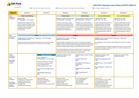- 
- 



| <b>YEAR 9</b>                                                                                 | <b>Autumn 1</b>                                                                                                                                                                                          | <b>Autumn 2</b>                                                                                                                                                                                                                                                                                                               | <b>Spring 1</b>                                                                                                                                                                                                                                                                                                                                                                                                                                                                                                                                 | <b>Spring 2</b>                                                                                                                                                                                                                                                           | <b>Summer 1</b>                                                                                                                                                                                                                                                                     | <b>Summer 2</b>                                                                                                                                                                                                                                                    |  |
|-----------------------------------------------------------------------------------------------|----------------------------------------------------------------------------------------------------------------------------------------------------------------------------------------------------------|-------------------------------------------------------------------------------------------------------------------------------------------------------------------------------------------------------------------------------------------------------------------------------------------------------------------------------|-------------------------------------------------------------------------------------------------------------------------------------------------------------------------------------------------------------------------------------------------------------------------------------------------------------------------------------------------------------------------------------------------------------------------------------------------------------------------------------------------------------------------------------------------|---------------------------------------------------------------------------------------------------------------------------------------------------------------------------------------------------------------------------------------------------------------------------|-------------------------------------------------------------------------------------------------------------------------------------------------------------------------------------------------------------------------------------------------------------------------------------|--------------------------------------------------------------------------------------------------------------------------------------------------------------------------------------------------------------------------------------------------------------------|--|
| <b>PSHE</b>                                                                                   | <b>Health and Wellbeing</b>                                                                                                                                                                              |                                                                                                                                                                                                                                                                                                                               | <b>British Values</b>                                                                                                                                                                                                                                                                                                                                                                                                                                                                                                                           | <b>British Values</b>                                                                                                                                                                                                                                                     | <b>Sex and Relationships</b>                                                                                                                                                                                                                                                        | <b>Sex and Relationships</b>                                                                                                                                                                                                                                       |  |
| (1 lesson a<br>fortnight)                                                                     | <b>Body Image</b><br>7th September - 23rd October                                                                                                                                                        |                                                                                                                                                                                                                                                                                                                               | <b>First Give Social Action Project</b><br>30th November - 23rd April                                                                                                                                                                                                                                                                                                                                                                                                                                                                           | <b>First Give Social Action Project</b><br>30th November - 23rd April                                                                                                                                                                                                     | Tell Me More - RSE<br>$26th$ April – 16 <sup>th</sup> July                                                                                                                                                                                                                          | <b>Tell Me More - RSE</b><br>26th April - 16th July                                                                                                                                                                                                                |  |
|                                                                                               | Appropriate at a stage in their lives,<br>with increased social media use and<br>growing interest in celebrity culture.<br>Confronts mental and physical<br>wellbeing affected by body<br>consciousness. |                                                                                                                                                                                                                                                                                                                               | Promotes oracy, literacy, project<br>management, teamwork and social<br>action. Compliments English. Relies<br>on the maturity and the awareness of<br>community that should have<br>developed by this stage of term.                                                                                                                                                                                                                                                                                                                           | Promotes oracy, literacy, project<br>management, teamwork and social<br>action. Compliments English. Relies<br>on the maturity and the awareness of<br>community that should have<br>developed by this stage of term.                                                     | Trends in sexual behaviour among<br>young people and local teenage<br>pregnancy statistics inform the<br>sequencing of this topic prior to<br>summer holidays. Topic to include<br>condom demonstrations and other<br>contraceptive guidance. Builds on<br>Year 7.                  | Trends in sexual behaviour among<br>young people and local teenage<br>pregnancy statistics inform the<br>sequencing of this topic prior to<br>summer holidays. Topic to include<br>condom demonstrations and other<br>contraceptive guidance. Builds on<br>Year 7. |  |
| <b>PRE</b>                                                                                    |                                                                                                                                                                                                          | <b>Ethics</b>                                                                                                                                                                                                                                                                                                                 |                                                                                                                                                                                                                                                                                                                                                                                                                                                                                                                                                 | <b>Religion</b>                                                                                                                                                                                                                                                           |                                                                                                                                                                                                                                                                                     | <b>Religion</b>                                                                                                                                                                                                                                                    |  |
| (2 lessons a<br>fortnight)                                                                    | Relationships and Families (7th September – 18th December)<br><b>GCSE Thematic Study</b>                                                                                                                 |                                                                                                                                                                                                                                                                                                                               | <b>Beliefs and Teachings</b>                                                                                                                                                                                                                                                                                                                                                                                                                                                                                                                    | Christianity (4 <sup>th</sup> January – 2 <sup>nd</sup> April)                                                                                                                                                                                                            |                                                                                                                                                                                                                                                                                     | Religion, Crime and Punishment (26th April - 16th July)<br><b>GCSE Thematic Study</b>                                                                                                                                                                              |  |
|                                                                                               | Developing students' understanding of ethical issues concerning marriage,<br>divorce, families, gender equality, sexual relationships and sexuality.                                                     |                                                                                                                                                                                                                                                                                                                               | We study Beliefs and teachings first as these are the ideas that underpin<br>religious practices, leading to an opportunity to review beliefs during practices<br>modules and to have laid foundation of knowledge to better understand the<br>meaning of religious practices when we teach those later in the course.<br>The Christianity Beliefs and teachings module includes learning about the<br>nature of God, beliefs about creation, the incarnation, crucifixion and<br>resurrection of Jesus, heaven and hell and sin and salvation. |                                                                                                                                                                                                                                                                           | An engaging topic which will once again highlight the relevance to student<br>lives.<br>Crime and punishment includes learning about the causes of crime, aims of<br>punishment, attitudes to suffering, treatment of criminals, forgiveness and<br>attitudes to the death penalty. |                                                                                                                                                                                                                                                                    |  |
| <b>CEIAG</b><br>(1 lesson a<br>fortnight)<br><i>(including</i><br>trips and<br>events)        |                                                                                                                                                                                                          | <b>Careers Education</b><br><b>Career Pathways</b><br>$2nd$ November – $27th$ November<br>Informs and advises on the GCSE<br>process prior to making choices.<br>Looks at aspirations and<br>requirements for future study.<br><b>Careers Fair and Options Fair</b><br><b>TBC</b><br><b>NEACO/UEA Workshops</b><br><b>TBC</b> | <b>Insight into Industry Talks</b><br><b>Across this term</b>                                                                                                                                                                                                                                                                                                                                                                                                                                                                                   | <b>Norfolk Skills &amp; career Festival</b><br><b>TBC</b><br><b>Scottish Power Trip</b><br><b>TBC</b><br><b>Dr Faustus Performance &amp;</b><br><b>Workshop</b><br><b>TBC</b><br><b>Stemtacular event at UEA</b><br><b>TBC</b><br><b>BBC Young Reporter</b><br><b>TBC</b> | <b>Insight into Industry Talk</b><br><b>Across this term</b><br><b>Worldwise Geography Quiz</b><br><b>TBC</b><br><b>STEM Careers - Uni of Suffolk</b><br><b>TBC</b><br><b>Rock Assembly - Careers Fair</b><br><b>TBC</b>                                                            | <b>Insight into Industry Talk</b><br><b>Across this term</b>                                                                                                                                                                                                       |  |
| <b>Form</b><br><b>Activities</b><br>(including<br>assemblies &<br>outside<br><b>Speakers)</b> | Inspiration (SSO)<br>Random Acts of Kindness (ZCA)<br><b>Equality (Community APs)</b><br>Wellbeing Week (ZCA/AJA)<br>Strength (TPO)<br>Rewards (Community APs)                                           | Motivation (TPO)<br>Online Safety (SSO/JJO)<br>Remembrance Week (TPO)<br>Compassion (NPE)<br>Peace & Christmas (Community APs)                                                                                                                                                                                                | Resolutions (TPO)<br>Hope/Young Carers (AJA)<br>Reading Week (TJO)<br>Resilience (SSO)<br>Healthy Lifestyles (NPE)<br>Debating Comp & Rewards (TPO)                                                                                                                                                                                                                                                                                                                                                                                             | Careers Education (SSO)<br>Learning Skills (NPE)<br>SMSC (RSE/SMI)<br>Routines (TPO)<br>Rewards (Community APs)                                                                                                                                                           | Literacy (TJO)<br>Eco-Council & Environment (NPE)<br>VE Day Celebrations (TPO)<br>Social Media Speaker (SSO)<br>Rewards (Community APs)<br><b>NCFC Community Sports Foundation</b><br>workshops (identified students)                                                               |                                                                                                                                                                                                                                                                    |  |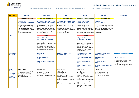

|  | <b>PRE-</b> Philosophy, Religior |  |
|--|----------------------------------|--|
|--|----------------------------------|--|

| <b>YEAR 10</b>                                                                         | <b>Autumn 1</b>                                                                                                                                                                                                      | <b>Autumn 2</b>                                                                                                                                                                                                                             | <b>Spring 1</b>                                                                                                                                                                                                                                                                            | <b>Spring 2</b>                                                                                                                                                                                                                                                                                                      | <b>Summer 1</b>                                                                                                                                                                                             | <b>Summer 2</b>                                                                      |
|----------------------------------------------------------------------------------------|----------------------------------------------------------------------------------------------------------------------------------------------------------------------------------------------------------------------|---------------------------------------------------------------------------------------------------------------------------------------------------------------------------------------------------------------------------------------------|--------------------------------------------------------------------------------------------------------------------------------------------------------------------------------------------------------------------------------------------------------------------------------------------|----------------------------------------------------------------------------------------------------------------------------------------------------------------------------------------------------------------------------------------------------------------------------------------------------------------------|-------------------------------------------------------------------------------------------------------------------------------------------------------------------------------------------------------------|--------------------------------------------------------------------------------------|
| <b>PSHE</b>                                                                            | <b>Health and Wellbeing</b>                                                                                                                                                                                          | <b>Sex and Relationships</b>                                                                                                                                                                                                                | <b>Sex and Relationships</b>                                                                                                                                                                                                                                                               | <b>Economic Wellbeing</b>                                                                                                                                                                                                                                                                                            | <b>Sex and Relationships</b>                                                                                                                                                                                |                                                                                      |
|                                                                                        | <b>Health Matters</b><br>7 <sup>th</sup> September - 16 <sup>th</sup> October                                                                                                                                        | <b>Pregnancy, Parenthood &amp; Family</b><br>30th November - 12th February                                                                                                                                                                  | <b>Pregnancy, Parenthood &amp; Family</b><br>30th November - 12th February                                                                                                                                                                                                                 | <b>Finance and Gambling</b><br>$22nd March - 7th May$                                                                                                                                                                                                                                                                | <b>Snagged</b><br>$10^{th}$ May - $18^{th}$ June                                                                                                                                                            |                                                                                      |
|                                                                                        | Informs and supports on mental<br>health at the beginning of academic<br>year. Covers issues such as self-<br>examination and cancer, as per RSHE<br>guidance and at a mature age to<br>appreciate the significance. | Building on Topic 3 of Year 9. Year 9<br>focussed on sexual health, this gives<br>practical guidance on the risks and<br>challenges of pregnancy, parenthood,<br>and healthy family relationships. Looks<br>at religious perspective also.  | Building on Topic 3 of Year 9. Year 9<br>focussed on sexual health, this gives<br>practical guidance on the risks and<br>challenges of pregnancy, parenthood,<br>and healthy family relationships. Looks<br>at religious perspective also.                                                 | Builds on financial education<br>received in previous years, but<br>focusses more on pay, taxes and<br>responsible spending. At this stage<br>many will have jobs and will soon<br>be dealing with finance much more.                                                                                                | Covers several topics and focusses on<br>the risk assessment skills developed<br>over 3 years of CC education. Recaps<br>prior learning, and assesses pupils<br>understanding of action and<br>consequence. |                                                                                      |
| <b>PRE</b>                                                                             |                                                                                                                                                                                                                      | <b>Religion</b><br><b>Islam and Christianity</b><br>19th October - 27th November                                                                                                                                                            |                                                                                                                                                                                                                                                                                            | <b>Religion</b><br><b>Religious Ethics</b><br>22 <sup>nd</sup> February - 19 <sup>th</sup> March                                                                                                                                                                                                                     |                                                                                                                                                                                                             |                                                                                      |
|                                                                                        |                                                                                                                                                                                                                      | Addresses legacy curriculum, and to<br>satisfy the basic curriculum need. Vital<br>that the two most common religions<br>of the academy are taught to all to<br>promote tolerance and understanding<br>of different religions and cultures. |                                                                                                                                                                                                                                                                                            | Builds on topic 2 and applies<br>knowledge of the 2 main religions<br>studied to different ethical<br>situations. Draws on ideas of<br>tolerance and difference that was<br>discussed in the social cohesion<br>project studied last year.                                                                           |                                                                                                                                                                                                             |                                                                                      |
| <b>CEIAG Trips</b><br>and Events                                                       |                                                                                                                                                                                                                      | <b>Careers Fair</b><br><b>TBC</b>                                                                                                                                                                                                           | <b>Insight into Industry Talks</b><br><b>Across this term</b>                                                                                                                                                                                                                              | <b>Insight into Industry Talks</b><br><b>Across this term</b>                                                                                                                                                                                                                                                        | <b>Insight into Industry Talks</b><br><b>Across this term</b>                                                                                                                                               | <b>Careers Educat</b>                                                                |
|                                                                                        |                                                                                                                                                                                                                      | <b>NEACO Workshops</b><br><b>TBC</b>                                                                                                                                                                                                        |                                                                                                                                                                                                                                                                                            | <b>Junior Healthcare at JPUH</b><br><b>TBC</b>                                                                                                                                                                                                                                                                       | <b>Future Fest trip</b><br><b>TBC</b>                                                                                                                                                                       | <b>Work Experience</b><br>$21st$ June – $16th$ July                                  |
|                                                                                        |                                                                                                                                                                                                                      | <b>Skills for Energy Event - LSFC</b><br><b>TBC</b>                                                                                                                                                                                         |                                                                                                                                                                                                                                                                                            | <b>Music Workshops at NAC</b><br><b>TBC</b>                                                                                                                                                                                                                                                                          | 'Move On Up' - UEA<br><b>TBC</b>                                                                                                                                                                            | Alongside a week in indus<br>them time to consider pre<br>conceptions of work, discu |
|                                                                                        |                                                                                                                                                                                                                      |                                                                                                                                                                                                                                             |                                                                                                                                                                                                                                                                                            | <b>Future Think event at UEA</b><br><b>TBC</b>                                                                                                                                                                                                                                                                       | <b>Rock Assembly - Careers Fair</b><br><b>TBC</b>                                                                                                                                                           | and then reflect and evalu<br>experience afterwards.                                 |
| Form<br><b>Activities</b><br>(including<br>assemblies &<br>outside<br><b>Speakers)</b> | Inspiration (SSO)<br>Random Acts of Kindness (ZCA)<br><b>Equality (Community APs)</b><br>Wellbeing Week (ZCA/AJA)<br>Strength (TPO)<br>Rewards (Community APs)                                                       | Motivation (TPO)<br>Online Safety (SSO/JJO)<br>Remembrance Week (TPO)<br>Compassion (NPE)<br>Peace & Christmas (Community APs)                                                                                                              | Resolutions (TPO)<br>Hope/Young Carers (AJA)<br>Reading Week (TJO)<br>Resilience (SSO)<br>Healthy Lifestyles (NPE)<br>Debating Competition & Rewards<br>(TPO)<br>'Have You Ever Wondered' UEA talk<br>'Why Go To University?' Suffolk Uni<br>talk<br>Climate Change Talk - East Norfolk SF | Careers Education (SSO)<br>Learning Skills (NPE)<br>SMSC (RSE/SMI)<br>Routines (TPO)<br>Rewards (Community APs)<br>PC Lucy Boakes- Murdered by my<br>Boyfriend<br>Henry Maybury-Alcohol Awareness<br>PCs Martine Borrett & Lucy Boakes<br>Kicks<br><b>Matthew Project</b><br>Stop Smoking Advisor-Rebecca<br>Simmons | Literacy (TJO)<br>Eco-Council & Environment (NPE)<br><b>VE Day Celebrations (TPO)</b><br>Social Media Speaker (SSO)<br>Motivational Assembly (GPI)                                                          |                                                                                      |

| er 1                                                                                      | <b>Summer 2</b>                                                                                                                                                                                                                  |
|-------------------------------------------------------------------------------------------|----------------------------------------------------------------------------------------------------------------------------------------------------------------------------------------------------------------------------------|
| ationships                                                                                |                                                                                                                                                                                                                                  |
| ne<br>and focusses on<br>kills developed<br>lucation. Recaps<br>ssesses pupils<br>ion and |                                                                                                                                                                                                                                  |
|                                                                                           |                                                                                                                                                                                                                                  |
| try Talks                                                                                 | <b>Careers Education</b>                                                                                                                                                                                                         |
| ĒΑ<br><b>Careers Fair</b>                                                                 | <b>Work Experience</b><br>21st June - 16th July<br>Alongside a week in industry. Gives<br>them time to consider pre-<br>conceptions of work, discuss anxieties<br>and then reflect and evaluate on the<br>experience afterwards. |
| nment (NPE)<br>(TPO)<br>r (SSO)<br>ly (GPI)                                               |                                                                                                                                                                                                                                  |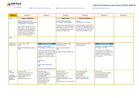| er 1                                                                                                                               | <b>Summer 2</b> |
|------------------------------------------------------------------------------------------------------------------------------------|-----------------|
|                                                                                                                                    |                 |
|                                                                                                                                    |                 |
| <b><i><u>Iucation</u></i></b><br><b>Ding Strategies</b><br>May<br>mindfulness,<br>and other coping<br>providing<br>d exam guidance |                 |
| nment (NPE)<br>(TPO)<br>r (SSO)<br>y APs)                                                                                          |                 |



| <b>PRE-</b> Philosophy, Religior |  |  |
|----------------------------------|--|--|
|----------------------------------|--|--|

| <b>YEAR 11</b>                                                                         | <b>Autumn 1</b>                                                                                                                                                                                                                                                                                                                                                                                                               | <b>Autumn 2</b>                                                                                                                                                                                                                                                                                                                                                                                                                                            | <b>Spring 1</b>                                                                                                                                                                                                                                                                                                  | <b>Spring 2</b>                                                                                                                                                                                                                                                                                                 | <b>Summer 1</b>                                                                                                                                                                                                                                                                | <b>Summer 2</b> |
|----------------------------------------------------------------------------------------|-------------------------------------------------------------------------------------------------------------------------------------------------------------------------------------------------------------------------------------------------------------------------------------------------------------------------------------------------------------------------------------------------------------------------------|------------------------------------------------------------------------------------------------------------------------------------------------------------------------------------------------------------------------------------------------------------------------------------------------------------------------------------------------------------------------------------------------------------------------------------------------------------|------------------------------------------------------------------------------------------------------------------------------------------------------------------------------------------------------------------------------------------------------------------------------------------------------------------|-----------------------------------------------------------------------------------------------------------------------------------------------------------------------------------------------------------------------------------------------------------------------------------------------------------------|--------------------------------------------------------------------------------------------------------------------------------------------------------------------------------------------------------------------------------------------------------------------------------|-----------------|
| <b>PSHE</b><br><b>PRE</b>                                                              | <b>Health and Wellbeing</b><br><b>Blood, Organ &amp; Stem Cell</b><br><b>Donation / Ethics of Vaccinations</b><br>7th September - 23rd October<br>Looks at these medical issues from<br>both a secular, scientific view as per<br>RSHE guidance. But also applies the<br>philosophy and theology developed<br>over the 4 years of CC. Allows for<br>mature, critical analysis of the issues<br>from a broad theoretical base. |                                                                                                                                                                                                                                                                                                                                                                                                                                                            | <b>British Values</b><br><b>Human Rights (inc. FGM)</b><br>4 <sup>th</sup> January - 12 <sup>th</sup> February<br>Mature themes, involving philosophy,<br>theology. Issues of forced marriage,<br>FGM, breast ironing etc, all require a<br>level of maturity that being in Year 11<br>demands. Age appropriate. | <b>Health and Wellbeing</b><br><b>First Aid</b><br>22 <sup>nd</sup> February - 19 <sup>th</sup> March<br>Recaps and builds on Topic 8 of Year<br>8. Includes more age appropriate first<br>aid such as heavy bleeding and shock,<br>chest pain and cardiac arrest. Skills<br>that will be transferable in work. |                                                                                                                                                                                                                                                                                |                 |
| <b>CEIAG Trips</b><br>and Events                                                       | <b>Futures Tour - ENSF</b><br><b>TBC</b><br><b>Maximize Potential Drop-Down</b><br><b>TBC</b>                                                                                                                                                                                                                                                                                                                                 | <b>Careers Education</b><br><b>Careers and Next Steps</b><br>$2nd$ November – 18 <sup>th</sup> December<br>Taught concurrently with the college<br>applications process. Provides space<br>to reflect, to receive guidance and to<br>ask questions on the next steps in<br>their journeys, leaving at the end of<br>Year 11.<br><b>Careers Fair</b><br><b>TBC</b><br><b>1-to-1 Careers Interviews</b><br><b>TBC</b><br><b>College Tours/Assemblies TBC</b> | <b>Insight into Industry Talks</b><br><b>Across this term</b><br><b>1-to-1 Careers Interviews</b><br><b>TBC</b><br><b>College Tours/Assemblies TBC</b>                                                                                                                                                           | <b>Insight into Industry Talks</b><br><b>Across this term</b>                                                                                                                                                                                                                                                   | <b>Careers Education</b><br><b>Exam Skills &amp; Coping Strategies</b><br>$22nd March - 21st May$<br>Provides sessions on mindfulness,<br>stress management and other coping<br>strategies. As well as providing<br>practical revision and exam guidance<br>at a crucial time. |                 |
| Form<br><b>Activities</b><br>(including<br>assemblies &<br>outside<br><b>Speakers)</b> | Inspiration (SSO)<br>Random Acts of Kindness (ZCA)<br><b>Equality (Community APs)</b><br>Wellbeing Week (ZCA/AJA)<br>Strength (TPO)<br>Rewards (Community APs)                                                                                                                                                                                                                                                                | Motivation (TPO)<br>Online Safety (SSO/JJO)<br>Remembrance Week (TPO)<br>Compassion (NPE)<br>Peace & Christmas (Community APs)<br>Lowestoft Sixth Form<br>Easton and Otley College<br>East Norfolk Sixth Form<br><b>East Coast College</b>                                                                                                                                                                                                                 | Resolutions (TPO)<br>Hope/Young Carers (AJA)<br>Reading Week (TJO)<br>Resilience (SSO)<br>Healthy Lifestyles (NPE)<br>Debating Competition & Rewards<br>(TPO)<br>Climate Change Talk - East Norfolk SF                                                                                                           | Careers Education (SSO)<br>Learning Skills (NPE)<br>SMSC (RSE/SMI)<br>Routines (TPO)<br>Rewards (Community APs)<br>Apprenticeship Workshops                                                                                                                                                                     | Literacy (TJO)<br>Eco-Council & Environment (NPE)<br><b>VE Day Celebrations (TPO)</b><br>Social Media Speaker (SSO)<br>Rewards (Community APs)                                                                                                                                 |                 |